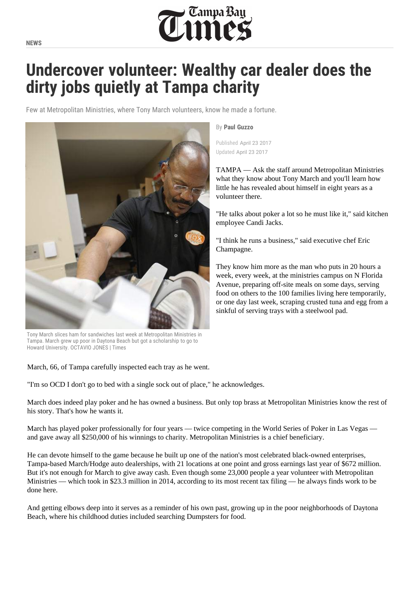

## **Undercover volunteer: Wealthy car dealer does the dirty jobs quietly at Tampa charity**

Few at Metropolitan Ministries, where Tony March volunteers, know he made a fortune.

<span id="page-0-0"></span>

Tony March slices ham for sandwiches last week at Metropolitan Ministries in Tampa. March grew up poor in Daytona Beach but got a scholarship to go to Howard University. OCTAVIO JONES | Times

March, 66, of Tampa carefully inspected each tray as he went.

"I'm so OCD I don't go to bed with a single sock out of place," he acknowledges.

March does indeed play poker and he has owned a business. But only top brass at Metropolitan Ministries know the rest of his story. That's how he wants it.

March has played poker professionally for four years — twice competing in the World Series of Poker in Las Vegas and gave away all \$250,000 of his winnings to charity. Metropolitan Ministries is a chief beneficiary.

He can devote himself to the game because he built up one of the nation's most celebrated black-owned enterprises, Tampa-based March/Hodge auto dealerships, with 21 locations at one point and gross earnings last year of \$672 million. But it's not enough for March to give away cash. Even though some 23,000 people a year volunteer with Metropolitan Ministries — which took in \$23.3 million in 2014, according to its most recent tax filing — he always finds work to be done here.

And getting elbows deep into it serves as a reminder of his own past, growing up in the poor neighborhoods of Daytona Beach, where his childhood duties included searching Dumpsters for food.

By **[Paul Guzzo](https://www.tampabay.com/writers/?plid=paul-guzzo)**

Published April 23 2017 Updated April 23 2017

TAMPA — Ask the staff around Metropolitan Ministries what they know about Tony March and you'll learn how little he has revealed about himself in eight years as a volunteer there.

"He talks about poker a lot so he must like it," said kitchen employee Candi Jacks.

"I think he runs a business," said executi[ve chef Eric](#page-0-0)  Champagne.

They know him more as the man who puts in 20 hours a week, every week, at the ministries campus on N Florida Avenue, preparing off-site meals on some days, serving food on others to the 100 families living here temporarily, or one day last week, scraping crusted tuna and egg from a sinkful of serving trays with a steelwool pad.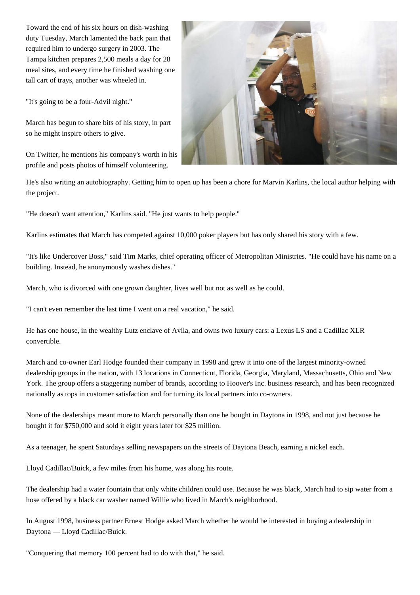Toward the end of his six hours on dish-washing duty Tuesday, March lamented the back pain that required him to undergo surgery in 2003. The Tampa kitchen prepares 2,500 meals a day for 28 meal sites, and every time he finished washing one tall cart of trays, another was wheeled in.

"It's going to be a four-Advil night."

March has begun to share bits of his story, in part so he might inspire others to give.

On Twitter, he mentions his company's worth in his profile and posts photos of himself volunteering.



He's also writing an autobiography. Getting him to open up has been a chore for Marvin Karlins, the local author helping with the project.

"He doesn't want attention," Karlins said. "He just wants to help people.''

Karlins estimates that March has competed against 10,000 poker players but has only shared his story with a few.

"It's like Undercover Boss," said Tim Marks, chief operating officer of Metropolitan Ministries. "He could have his name on a building. Instead, he anonymously washes dishes."

March, who is divorced with one grown daughter, lives well but not as well as he could.

"I can't even remember the last time I went on a real vacation," he said.

He has one house, in the wealthy Lutz enclave of Avila, and owns two luxury cars: a Lexus LS and a Cadillac XLR convertible.

March and co-owner Earl Hodge founded their company in 1998 and grew it into one of the largest minority-owned dealership groups in the nation, with 13 locations in Connecticut, Florida, Georgia, Maryland, Massachusetts, Ohio and New York. The group offers a staggering number of brands, according to Hoover's Inc. business research, and has been recognized nationally as tops in customer satisfaction and for turning its local partners into co-owners.

None of the dealerships meant more to March personally than one he bought in Daytona in 1998, and not just because he bought it for \$750,000 and sold it eight years later for \$25 million.

As a teenager, he spent Saturdays selling newspapers on the streets of Daytona Beach, earning a nickel each.

Lloyd Cadillac/Buick, a few miles from his home, was along his route.

The dealership had a water fountain that only white children could use. Because he was black, March had to sip water from a hose offered by a black car washer named Willie who lived in March's neighborhood.

In August 1998, business partner Ernest Hodge asked March whether he would be interested in buying a dealership in Daytona — Lloyd Cadillac/Buick.

"Conquering that memory 100 percent had to do with that," he said.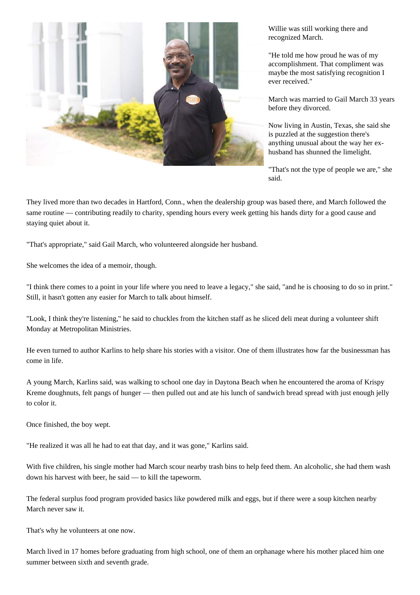

Willie was still working there and recognized March.

"He told me how proud he was of my accomplishment. That compliment was maybe the most satisfying recognition I ever received."

March was married to Gail March 33 years before they divorced.

Now living in Austin, Texas, she said she is puzzled at the suggestion there's anything unusual about the way her exhusband has shunned the limelight.

"That's not the type of people we are," she said.

They lived more than two decades in Hartford, Conn., when the dealership group was based there, and March followed the same routine — contributing readily to charity, spending hours every week getting his hands dirty for a good cause and staying quiet about it.

"That's appropriate," said Gail March, who volunteered alongside her husband.

She welcomes the idea of a memoir, though.

"I think there comes to a point in your life where you need to leave a legacy," she said, "and he is choosing to do so in print." Still, it hasn't gotten any easier for March to talk about himself.

"Look, I think they're listening," he said to chuckles from the kitchen staff as he sliced deli meat during a volunteer shift Monday at Metropolitan Ministries.

He even turned to author Karlins to help share his stories with a visitor. One of them illustrates how far the businessman has come in life.

A young March, Karlins said, was walking to school one day in Daytona Beach when he encountered the aroma of Krispy Kreme doughnuts, felt pangs of hunger — then pulled out and ate his lunch of sandwich bread spread with just enough jelly to color it.

Once finished, the boy wept.

"He realized it was all he had to eat that day, and it was gone," Karlins said.

With five children, his single mother had March scour nearby trash bins to help feed them. An alcoholic, she had them wash down his harvest with beer, he said — to kill the tapeworm.

The federal surplus food program provided basics like powdered milk and eggs, but if there were a soup kitchen nearby March never saw it.

That's why he volunteers at one now.

March lived in 17 homes before graduating from high school, one of them an orphanage where his mother placed him one summer between sixth and seventh grade.